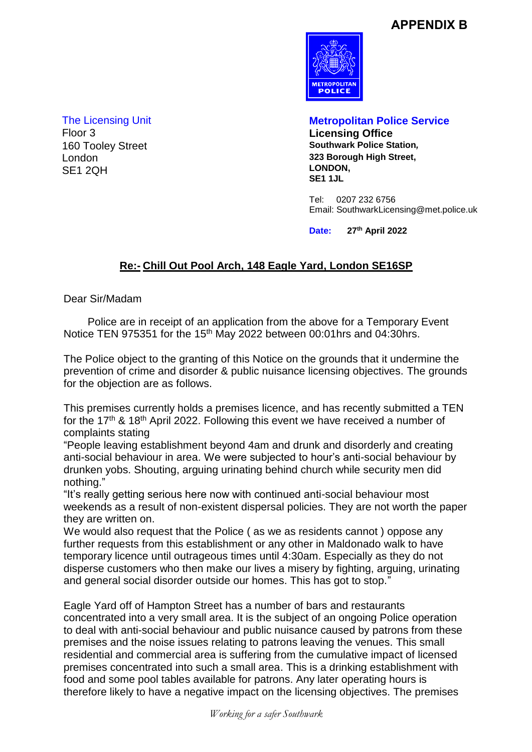## **APPENDIX B**



160 Tooley Street London SE1 2QH

The Licensing Unit **Metropolitan Police Service** Floor 3 **Licensing Office 323 Borough High Street, LONDON, SE1 1JL**

> Tel: 0207 232 6756 Email: SouthwarkLicensing@met.police.uk

**Date: 27th April 2022**

## **Re:- Chill Out Pool Arch, 148 Eagle Yard, London SE16SP**

Dear Sir/Madam

 Police are in receipt of an application from the above for a Temporary Event Notice TEN 975351 for the 15<sup>th</sup> May 2022 between 00:01 hrs and 04:30 hrs.

The Police object to the granting of this Notice on the grounds that it undermine the prevention of crime and disorder & public nuisance licensing objectives. The grounds for the objection are as follows.

This premises currently holds a premises licence, and has recently submitted a TEN for the 17<sup>th</sup> & 18<sup>th</sup> April 2022. Following this event we have received a number of complaints stating

"People leaving establishment beyond 4am and drunk and disorderly and creating anti-social behaviour in area. We were subjected to hour's anti-social behaviour by drunken yobs. Shouting, arguing urinating behind church while security men did nothing."

"It's really getting serious here now with continued anti-social behaviour most weekends as a result of non-existent dispersal policies. They are not worth the paper they are written on.

We would also request that the Police ( as we as residents cannot ) oppose any further requests from this establishment or any other in Maldonado walk to have temporary licence until outrageous times until 4:30am. Especially as they do not disperse customers who then make our lives a misery by fighting, arguing, urinating and general social disorder outside our homes. This has got to stop."

Eagle Yard off of Hampton Street has a number of bars and restaurants concentrated into a very small area. It is the subject of an ongoing Police operation to deal with anti-social behaviour and public nuisance caused by patrons from these premises and the noise issues relating to patrons leaving the venues. This small residential and commercial area is suffering from the cumulative impact of licensed premises concentrated into such a small area. This is a drinking establishment with food and some pool tables available for patrons. Any later operating hours is therefore likely to have a negative impact on the licensing objectives. The premises